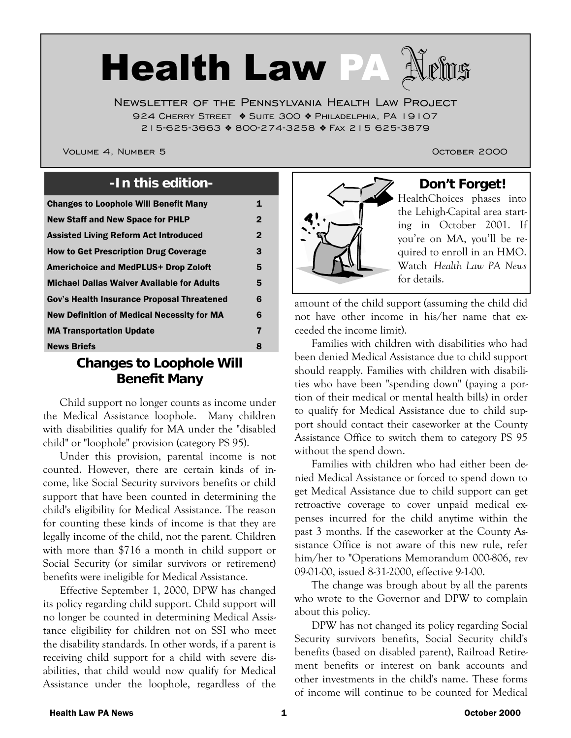# Health Law PA

Newsletter of the Pennsylvania Health Law Project 924 Cherry Street ❖ Suite 300 ❖ Philadelphia, PA 19107 215-625-3663 ❖ 800-274-3258 ❖ Fax 215 625-3879

Volume 4, Number 5 October 2000

| <b>Changes to Loophole Will Benefit Many</b>      | 1            |
|---------------------------------------------------|--------------|
| <b>New Staff and New Space for PHLP</b>           | $\mathbf{2}$ |
| <b>Assisted Living Reform Act Introduced</b>      | $\mathbf 2$  |
| <b>How to Get Prescription Drug Coverage</b>      | 3            |
| <b>Americhoice and MedPLUS+ Drop Zoloft</b>       | 5            |
| <b>Michael Dallas Waiver Available for Adults</b> | 5            |
| Gov's Health Insurance Proposal Threatened        | 6            |
| <b>New Definition of Medical Necessity for MA</b> | 6            |
| <b>MA Transportation Update</b>                   | 7            |
| <b>News Briefs</b>                                | 8            |

#### **Changes to Loophole Will Benefit Many**

 Child support no longer counts as income under the Medical Assistance loophole. Many children with disabilities qualify for MA under the "disabled child" or "loophole" provision (category PS 95).

Under this provision, parental income is not counted. However, there are certain kinds of income, like Social Security survivors benefits or child support that have been counted in determining the child's eligibility for Medical Assistance. The reason for counting these kinds of income is that they are legally income of the child, not the parent. Children with more than \$716 a month in child support or Social Security (or similar survivors or retirement) benefits were ineligible for Medical Assistance.

Effective September 1, 2000, DPW has changed its policy regarding child support. Child support will no longer be counted in determining Medical Assistance eligibility for children not on SSI who meet the disability standards. In other words, if a parent is receiving child support for a child with severe disabilities, that child would now qualify for Medical Assistance under the loophole, regardless of the



HealthChoices phases into the Lehigh-Capital area starting in October 2001. If you're on MA, you'll be required to enroll in an HMO. Watch *Health Law PA News* for details.

amount of the child support (assuming the child did not have other income in his/her name that exceeded the income limit).

Families with children with disabilities who had been denied Medical Assistance due to child support should reapply. Families with children with disabilities who have been "spending down" (paying a portion of their medical or mental health bills) in order to qualify for Medical Assistance due to child support should contact their caseworker at the County Assistance Office to switch them to category PS 95 without the spend down.

Families with children who had either been denied Medical Assistance or forced to spend down to get Medical Assistance due to child support can get retroactive coverage to cover unpaid medical expenses incurred for the child anytime within the past 3 months. If the caseworker at the County Assistance Office is not aware of this new rule, refer him/her to "Operations Memorandum 000-806, rev 09-01-00, issued 8-31-2000, effective 9-1-00.

The change was brough about by all the parents who wrote to the Governor and DPW to complain about this policy.

DPW has not changed its policy regarding Social Security survivors benefits, Social Security child's benefits (based on disabled parent), Railroad Retirement benefits or interest on bank accounts and other investments in the child's name. These forms of income will continue to be counted for Medical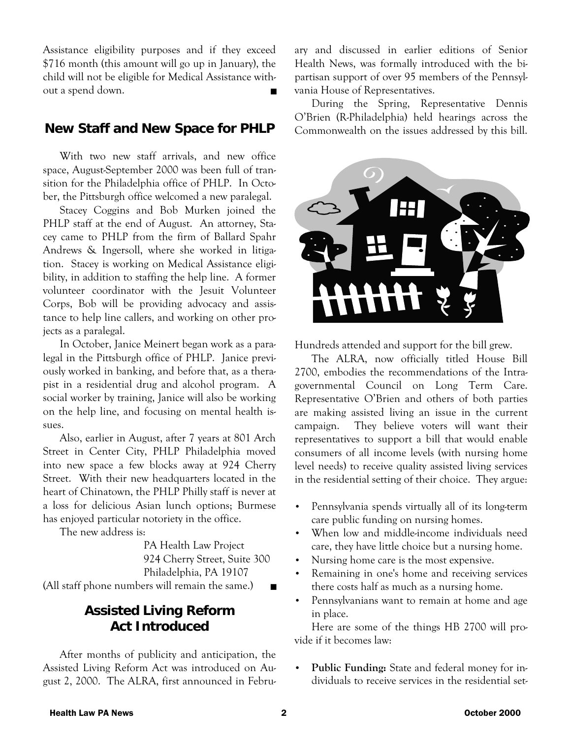Assistance eligibility purposes and if they exceed \$716 month (this amount will go up in January), the child will not be eligible for Medical Assistance without a spend down.

#### **New Staff and New Space for PHLP**

 With two new staff arrivals, and new office space, August-September 2000 was been full of transition for the Philadelphia office of PHLP. In October, the Pittsburgh office welcomed a new paralegal.

 Stacey Coggins and Bob Murken joined the PHLP staff at the end of August. An attorney, Stacey came to PHLP from the firm of Ballard Spahr Andrews & Ingersoll, where she worked in litigation. Stacey is working on Medical Assistance eligibility, in addition to staffing the help line. A former volunteer coordinator with the Jesuit Volunteer Corps, Bob will be providing advocacy and assistance to help line callers, and working on other projects as a paralegal.

 In October, Janice Meinert began work as a paralegal in the Pittsburgh office of PHLP. Janice previously worked in banking, and before that, as a therapist in a residential drug and alcohol program. A social worker by training, Janice will also be working on the help line, and focusing on mental health issues.

 Also, earlier in August, after 7 years at 801 Arch Street in Center City, PHLP Philadelphia moved into new space a few blocks away at 924 Cherry Street. With their new headquarters located in the heart of Chinatown, the PHLP Philly staff is never at a loss for delicious Asian lunch options; Burmese has enjoyed particular notoriety in the office.

The new address is:

 PA Health Law Project 924 Cherry Street, Suite 300 Philadelphia, PA 19107

(All staff phone numbers will remain the same.)  $\blacksquare$ 

# **Assisted Living Reform Act Introduced**

 After months of publicity and anticipation, the Assisted Living Reform Act was introduced on August 2, 2000. The ALRA, first announced in February and discussed in earlier editions of Senior Health News, was formally introduced with the bipartisan support of over 95 members of the Pennsylvania House of Representatives.

 During the Spring, Representative Dennis O'Brien (R-Philadelphia) held hearings across the Commonwealth on the issues addressed by this bill.



Hundreds attended and support for the bill grew.

 The ALRA, now officially titled House Bill 2700, embodies the recommendations of the Intragovernmental Council on Long Term Care. Representative O'Brien and others of both parties are making assisted living an issue in the current campaign. They believe voters will want their representatives to support a bill that would enable consumers of all income levels (with nursing home level needs) to receive quality assisted living services in the residential setting of their choice. They argue:

- Pennsylvania spends virtually all of its long-term care public funding on nursing homes.
- When low and middle-income individuals need care, they have little choice but a nursing home.
- Nursing home care is the most expensive.
- Remaining in one's home and receiving services there costs half as much as a nursing home.
- Pennsylvanians want to remain at home and age in place.

 Here are some of the things HB 2700 will provide if it becomes law:

• **Public Funding:** State and federal money for individuals to receive services in the residential set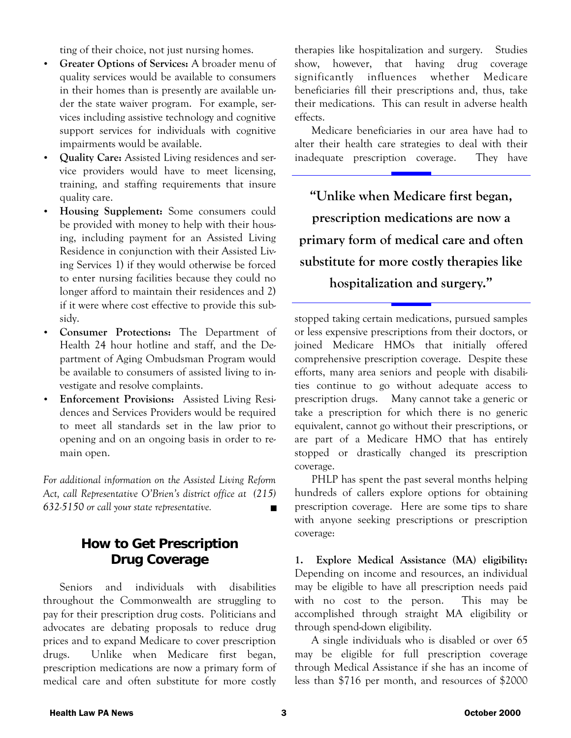ting of their choice, not just nursing homes.

- **Greater Options of Services:** A broader menu of quality services would be available to consumers in their homes than is presently are available under the state waiver program. For example, services including assistive technology and cognitive support services for individuals with cognitive impairments would be available.
- **Quality Care:** Assisted Living residences and service providers would have to meet licensing, training, and staffing requirements that insure quality care.
- **Housing Supplement:** Some consumers could be provided with money to help with their housing, including payment for an Assisted Living Residence in conjunction with their Assisted Living Services 1) if they would otherwise be forced to enter nursing facilities because they could no longer afford to maintain their residences and 2) if it were where cost effective to provide this subsidy.
- **Consumer Protections:** The Department of Health 24 hour hotline and staff, and the Department of Aging Ombudsman Program would be available to consumers of assisted living to investigate and resolve complaints.
- **Enforcement Provisions:** Assisted Living Residences and Services Providers would be required to meet all standards set in the law prior to opening and on an ongoing basis in order to remain open.

*For additional information on the Assisted Living Reform Act, call Representative O'Brien's district office at (215) 632-5150 or call your state representative.* ■

# **How to Get Prescription Drug Coverage**

 Seniors and individuals with disabilities throughout the Commonwealth are struggling to pay for their prescription drug costs. Politicians and advocates are debating proposals to reduce drug prices and to expand Medicare to cover prescription drugs. Unlike when Medicare first began, prescription medications are now a primary form of medical care and often substitute for more costly therapies like hospitalization and surgery. Studies show, however, that having drug coverage significantly influences whether Medicare beneficiaries fill their prescriptions and, thus, take their medications. This can result in adverse health effects.

 Medicare beneficiaries in our area have had to alter their health care strategies to deal with their inadequate prescription coverage. They have

**"Unlike when Medicare first began, prescription medications are now a primary form of medical care and often substitute for more costly therapies like hospitalization and surgery."** 

stopped taking certain medications, pursued samples or less expensive prescriptions from their doctors, or joined Medicare HMOs that initially offered comprehensive prescription coverage. Despite these efforts, many area seniors and people with disabilities continue to go without adequate access to prescription drugs. Many cannot take a generic or take a prescription for which there is no generic equivalent, cannot go without their prescriptions, or are part of a Medicare HMO that has entirely stopped or drastically changed its prescription coverage.

 PHLP has spent the past several months helping hundreds of callers explore options for obtaining prescription coverage. Here are some tips to share with anyone seeking prescriptions or prescription coverage:

**1. Explore Medical Assistance (MA) eligibility:** Depending on income and resources, an individual may be eligible to have all prescription needs paid with no cost to the person. This may be accomplished through straight MA eligibility or through spend-down eligibility.

 A single individuals who is disabled or over 65 may be eligible for full prescription coverage through Medical Assistance if she has an income of less than \$716 per month, and resources of \$2000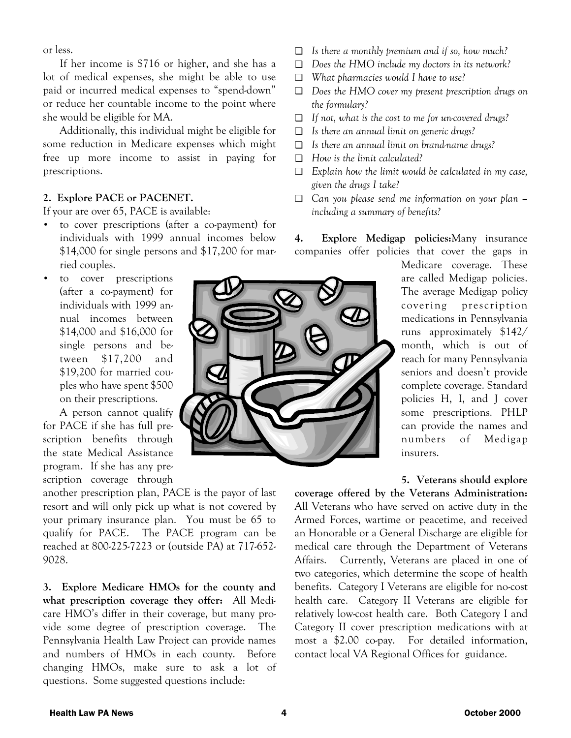or less.

 If her income is \$716 or higher, and she has a lot of medical expenses, she might be able to use paid or incurred medical expenses to "spend-down" or reduce her countable income to the point where she would be eligible for MA.

 Additionally, this individual might be eligible for some reduction in Medicare expenses which might free up more income to assist in paying for prescriptions.

#### **2. Explore PACE or PACENET.**

If your are over 65, PACE is available:

- to cover prescriptions (after a co-payment) for individuals with 1999 annual incomes below \$14,000 for single persons and \$17,200 for married couples.
- to cover prescriptions (after a co-payment) for individuals with 1999 annual incomes between \$14,000 and \$16,000 for single persons and between \$17,200 and \$19,200 for married couples who have spent \$500 on their prescriptions.

 A person cannot qualify for PACE if she has full prescription benefits through the state Medical Assistance program. If she has any prescription coverage through

another prescription plan, PACE is the payor of last resort and will only pick up what is not covered by your primary insurance plan. You must be 65 to qualify for PACE. The PACE program can be reached at 800-225-7223 or (outside PA) at 717-652- 9028.

**3. Explore Medicare HMOs for the county and what prescription coverage they offer:** All Medicare HMO's differ in their coverage, but many provide some degree of prescription coverage. The Pennsylvania Health Law Project can provide names and numbers of HMOs in each county. Before changing HMOs, make sure to ask a lot of questions. Some suggested questions include:

- ❏ *Is there a monthly premium and if so, how much?*
- ❏ *Does the HMO include my doctors in its network?*
- ❏ *What pharmacies would I have to use?*
- ❏ *Does the HMO cover my present prescription drugs on the formulary?*
- ❏ *If not, what is the cost to me for un-covered drugs?*
- ❏ *Is there an annual limit on generic drugs?*
- ❏ *Is there an annual limit on brand-name drugs?*
- ❏ *How is the limit calculated?*
- ❏ *Explain how the limit would be calculated in my case, given the drugs I take?*
- ❏ *Can you please send me information on your plan including a summary of benefits?*

**4. Explore Medigap policies:**Many insurance companies offer policies that cover the gaps in



Medicare coverage. These are called Medigap policies. The average Medigap policy covering prescription medications in Pennsylvania runs approximately \$142/ month, which is out of reach for many Pennsylvania seniors and doesn't provide complete coverage. Standard policies H, I, and J cover some prescriptions. PHLP can provide the names and numbers of Medigap insurers.

**5. Veterans should explore** 

**coverage offered by the Veterans Administration:** All Veterans who have served on active duty in the Armed Forces, wartime or peacetime, and received an Honorable or a General Discharge are eligible for medical care through the Department of Veterans Affairs. Currently, Veterans are placed in one of two categories, which determine the scope of health benefits. Category I Veterans are eligible for no-cost health care. Category II Veterans are eligible for relatively low-cost health care. Both Category I and Category II cover prescription medications with at most a \$2.00 co-pay. For detailed information, contact local VA Regional Offices for guidance.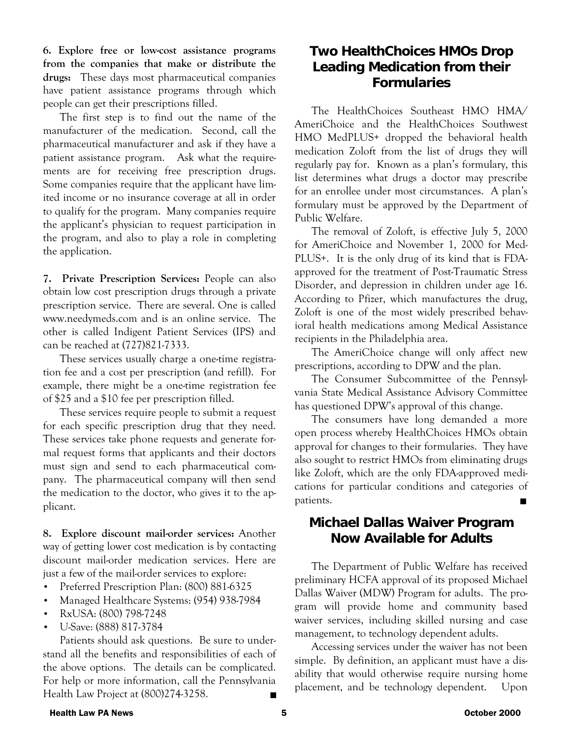**6. Explore free or low-cost assistance programs from the companies that make or distribute the drugs:** These days most pharmaceutical companies have patient assistance programs through which people can get their prescriptions filled.

 The first step is to find out the name of the manufacturer of the medication. Second, call the pharmaceutical manufacturer and ask if they have a patient assistance program. Ask what the requirements are for receiving free prescription drugs. Some companies require that the applicant have limited income or no insurance coverage at all in order to qualify for the program. Many companies require the applicant's physician to request participation in the program, and also to play a role in completing the application.

**7. Private Prescription Services:** People can also obtain low cost prescription drugs through a private prescription service. There are several. One is called www.needymeds.com and is an online service. The other is called Indigent Patient Services (IPS) and can be reached at (727)821-7333.

 These services usually charge a one-time registration fee and a cost per prescription (and refill). For example, there might be a one-time registration fee of \$25 and a \$10 fee per prescription filled.

 These services require people to submit a request for each specific prescription drug that they need. These services take phone requests and generate formal request forms that applicants and their doctors must sign and send to each pharmaceutical company. The pharmaceutical company will then send the medication to the doctor, who gives it to the applicant.

**8. Explore discount mail-order services:** Another way of getting lower cost medication is by contacting discount mail-order medication services. Here are just a few of the mail-order services to explore:

- Preferred Prescription Plan: (800) 881-6325
- Managed Healthcare Systems: (954) 938-7984
- RxUSA: (800) 798-7248
- U-Save: (888) 817-3784

 Patients should ask questions. Be sure to understand all the benefits and responsibilities of each of the above options. The details can be complicated. For help or more information, call the Pennsylvania Health Law Project at (800)274-3258.

#### **Two HealthChoices HMOs Drop Leading Medication from their Formularies**

 The HealthChoices Southeast HMO HMA/ AmeriChoice and the HealthChoices Southwest HMO MedPLUS+ dropped the behavioral health medication Zoloft from the list of drugs they will regularly pay for. Known as a plan's formulary, this list determines what drugs a doctor may prescribe for an enrollee under most circumstances. A plan's formulary must be approved by the Department of Public Welfare.

 The removal of Zoloft, is effective July 5, 2000 for AmeriChoice and November 1, 2000 for Med-PLUS+. It is the only drug of its kind that is FDAapproved for the treatment of Post-Traumatic Stress Disorder, and depression in children under age 16. According to Pfizer, which manufactures the drug, Zoloft is one of the most widely prescribed behavioral health medications among Medical Assistance recipients in the Philadelphia area.

 The AmeriChoice change will only affect new prescriptions, according to DPW and the plan.

 The Consumer Subcommittee of the Pennsylvania State Medical Assistance Advisory Committee has questioned DPW's approval of this change.

 The consumers have long demanded a more open process whereby HealthChoices HMOs obtain approval for changes to their formularies. They have also sought to restrict HMOs from eliminating drugs like Zoloft, which are the only FDA-approved medications for particular conditions and categories of patients.

#### **Michael Dallas Waiver Program Now Available for Adults**

 The Department of Public Welfare has received preliminary HCFA approval of its proposed Michael Dallas Waiver (MDW) Program for adults. The program will provide home and community based waiver services, including skilled nursing and case management, to technology dependent adults.

 Accessing services under the waiver has not been simple. By definition, an applicant must have a disability that would otherwise require nursing home placement, and be technology dependent. Upon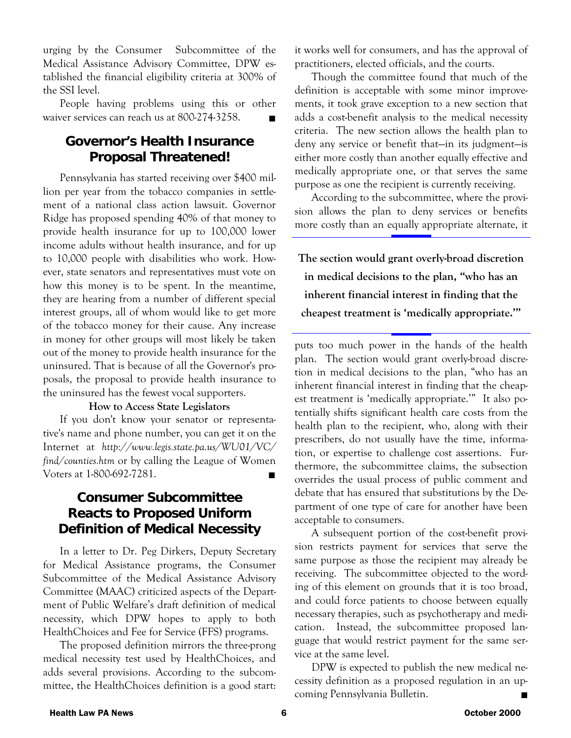urging by the Consumer Subcommittee of the Medical Assistance Advisory Committee, DPW established the financial eligibility criteria at 300% of the SSI level.

 People having problems using this or other waiver services can reach us at 800-274-3258. ■

#### **Governor's Health Insurance Proposal Threatened!**

 Pennsylvania has started receiving over \$400 million per year from the tobacco companies in settlement of a national class action lawsuit. Governor Ridge has proposed spending 40% of that money to provide health insurance for up to 100,000 lower income adults without health insurance, and for up to 10,000 people with disabilities who work. However, state senators and representatives must vote on how this money is to be spent. In the meantime, they are hearing from a number of different special interest groups, all of whom would like to get more of the tobacco money for their cause. Any increase in money for other groups will most likely be taken out of the money to provide health insurance for the uninsured. That is because of all the Governor's proposals, the proposal to provide health insurance to the uninsured has the fewest vocal supporters.

#### **How to Access State Legislators**

 If you don't know your senator or representative's name and phone number, you can get it on the Internet at *http://www.legis.state.pa.us/WU01/VC/ find/counties.htm* or by calling the League of Women Voters at 1-800-692-7281.

#### **Consumer Subcommittee Reacts to Proposed Uniform Definition of Medical Necessity**

In a letter to Dr. Peg Dirkers, Deputy Secretary for Medical Assistance programs, the Consumer Subcommittee of the Medical Assistance Advisory Committee (MAAC) criticized aspects of the Department of Public Welfare's draft definition of medical necessity, which DPW hopes to apply to both HealthChoices and Fee for Service (FFS) programs.

 The proposed definition mirrors the three-prong medical necessity test used by HealthChoices, and adds several provisions. According to the subcommittee, the HealthChoices definition is a good start: it works well for consumers, and has the approval of practitioners, elected officials, and the courts.

 Though the committee found that much of the definition is acceptable with some minor improvements, it took grave exception to a new section that adds a cost-benefit analysis to the medical necessity criteria. The new section allows the health plan to deny any service or benefit that—in its judgment—is either more costly than another equally effective and medically appropriate one, or that serves the same purpose as one the recipient is currently receiving.

 According to the subcommittee, where the provision allows the plan to deny services or benefits more costly than an equally appropriate alternate, it

**The section would grant overly-broad discretion in medical decisions to the plan, "who has an inherent financial interest in finding that the cheapest treatment is 'medically appropriate.'"** 

puts too much power in the hands of the health plan. The section would grant overly-broad discretion in medical decisions to the plan, "who has an inherent financial interest in finding that the cheapest treatment is 'medically appropriate.'" It also potentially shifts significant health care costs from the health plan to the recipient, who, along with their prescribers, do not usually have the time, information, or expertise to challenge cost assertions. Furthermore, the subcommittee claims, the subsection overrides the usual process of public comment and debate that has ensured that substitutions by the Department of one type of care for another have been acceptable to consumers.

 A subsequent portion of the cost-benefit provision restricts payment for services that serve the same purpose as those the recipient may already be receiving. The subcommittee objected to the wording of this element on grounds that it is too broad, and could force patients to choose between equally necessary therapies, such as psychotherapy and medication. Instead, the subcommittee proposed language that would restrict payment for the same service at the same level.

DPW is expected to publish the new medical necessity definition as a proposed regulation in an upcoming Pennsylvania Bulletin.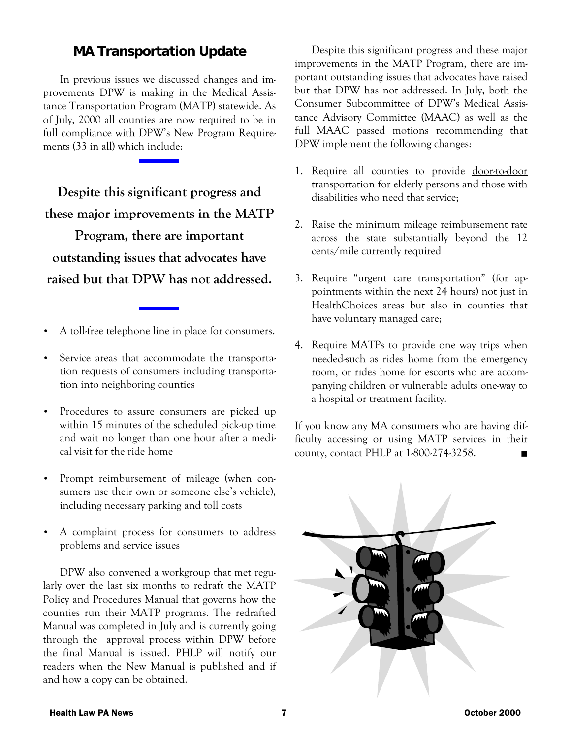#### **MA Transportation Update**

 In previous issues we discussed changes and improvements DPW is making in the Medical Assistance Transportation Program (MATP) statewide. As of July, 2000 all counties are now required to be in full compliance with DPW's New Program Requirements (33 in all) which include:

**Despite this significant progress and these major improvements in the MATP Program, there are important outstanding issues that advocates have raised but that DPW has not addressed.** 

- A toll-free telephone line in place for consumers.
- Service areas that accommodate the transportation requests of consumers including transportation into neighboring counties
- Procedures to assure consumers are picked up within 15 minutes of the scheduled pick-up time and wait no longer than one hour after a medical visit for the ride home
- Prompt reimbursement of mileage (when consumers use their own or someone else's vehicle), including necessary parking and toll costs
- A complaint process for consumers to address problems and service issues

 DPW also convened a workgroup that met regularly over the last six months to redraft the MATP Policy and Procedures Manual that governs how the counties run their MATP programs. The redrafted Manual was completed in July and is currently going through the approval process within DPW before the final Manual is issued. PHLP will notify our readers when the New Manual is published and if and how a copy can be obtained.

 Despite this significant progress and these major improvements in the MATP Program, there are important outstanding issues that advocates have raised but that DPW has not addressed. In July, both the Consumer Subcommittee of DPW's Medical Assistance Advisory Committee (MAAC) as well as the full MAAC passed motions recommending that DPW implement the following changes:

- 1. Require all counties to provide door-to-door transportation for elderly persons and those with disabilities who need that service;
- 2. Raise the minimum mileage reimbursement rate across the state substantially beyond the 12 cents/mile currently required
- 3. Require "urgent care transportation" (for appointments within the next 24 hours) not just in HealthChoices areas but also in counties that have voluntary managed care;
- 4. Require MATPs to provide one way trips when needed-such as rides home from the emergency room, or rides home for escorts who are accompanying children or vulnerable adults one-way to a hospital or treatment facility.

If you know any MA consumers who are having difficulty accessing or using MATP services in their county, contact PHLP at 1-800-274-3258.